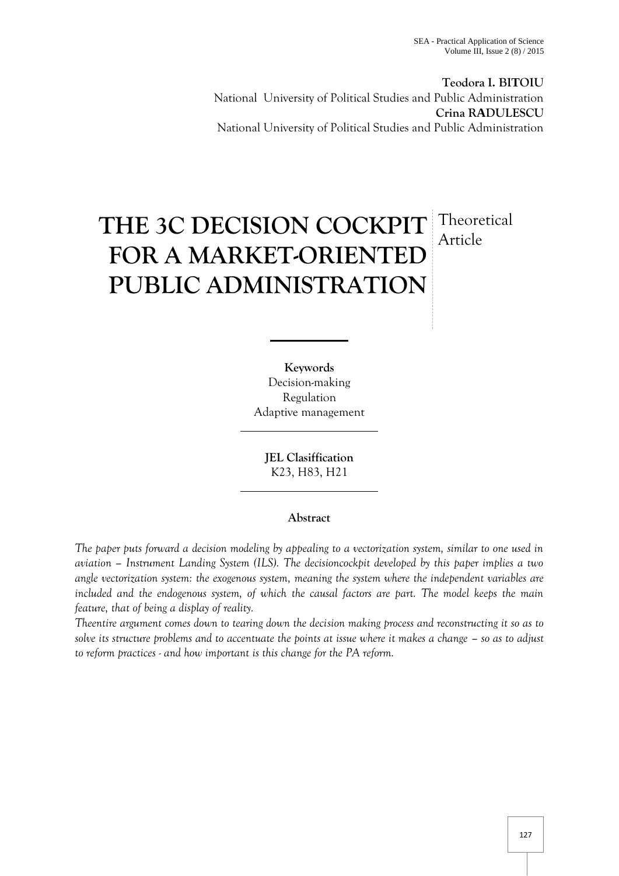**Teodora I. BITOIU** National University of Political Studies and Public Administration **Crina RADULESCU** National University of Political Studies and Public Administration

# **THE 3C DECISION COCKPIT** Theoretical **FOR A MARKET-ORIENTED PUBLIC ADMINISTRATION** Article

**Keywords** Decision-making Regulation Adaptive management

**JEL Clasiffication** K23, H83, H21

# **Abstract**

*The paper puts forward a decision modeling by appealing to a vectorization system, similar to one used in aviation – Instrument Landing System (ILS). The decisioncockpit developed by this paper implies a two angle vectorization system: the exogenous system, meaning the system where the independent variables are included and the endogenous system, of which the causal factors are part. The model keeps the main feature, that of being a display of reality.*

*Theentire argument comes down to tearing down the decision making process and reconstructing it so as to solve its structure problems and to accentuate the points at issue where it makes a change – so as to adjust to reform practices - and how important is this change for the PA reform.*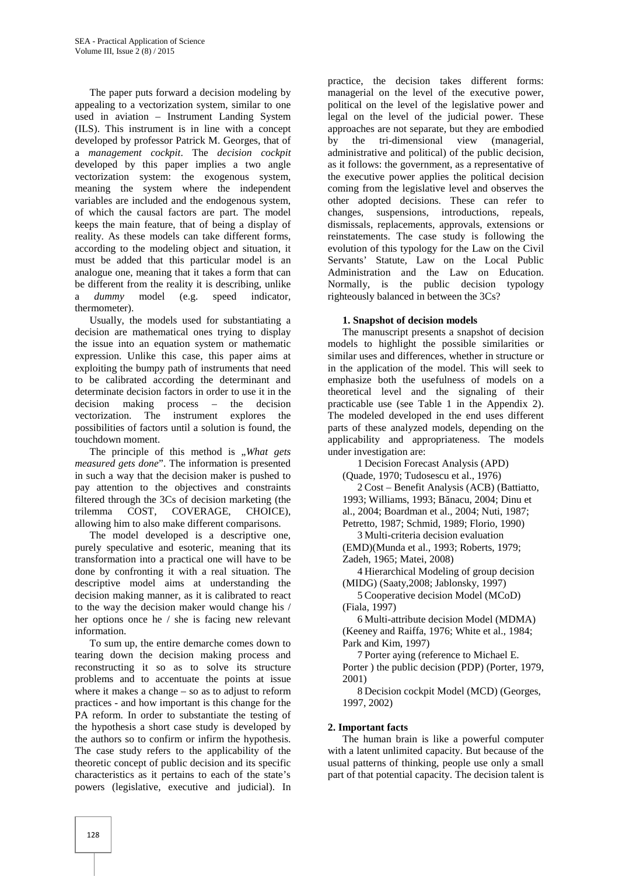The paper puts forward a decision modeling by appealing to a vectorization system, similar to one used in aviation – Instrument Landing System (ILS). This instrument is in line with a concept developed by professor Patrick M. Georges, that of a *management cockpit*. The *decision cockpit* developed by this paper implies a two angle vectorization system: the exogenous system, meaning the system where the independent variables are included and the endogenous system, of which the causal factors are part. The model keeps the main feature, that of being a display of reality. As these models can take different forms, according to the modeling object and situation, it must be added that this particular model is an analogue one, meaning that it takes a form that can be different from the reality it is describing, unlike a *dummy* model (e.g. speed indicator, thermometer).

Usually, the models used for substantiating a decision are mathematical ones trying to display the issue into an equation system or mathematic expression. Unlike this case, this paper aims at exploiting the bumpy path of instruments that need to be calibrated according the determinant and determinate decision factors in order to use it in the decision making process – the decision decision making process – the decision vectorization. The instrument explores the possibilities of factors until a solution is found, the touchdown moment.

The principle of this method is *"What gets measured gets done*". The information is presented in such a way that the decision maker is pushed to pay attention to the objectives and constraints filtered through the 3Cs of decision marketing (the trilemma COST, COVERAGE, CHOICE), allowing him to also make different comparisons.

The model developed is a descriptive one, purely speculative and esoteric, meaning that its transformation into a practical one will have to be done by confronting it with a real situation. The descriptive model aims at understanding the decision making manner, as it is calibrated to react to the way the decision maker would change his / her options once he / she is facing new relevant information.

To sum up, the entire demarche comes down to tearing down the decision making process and reconstructing it so as to solve its structure problems and to accentuate the points at issue where it makes a change – so as to adjust to reform practices - and how important is this change for the PA reform. In order to substantiate the testing of the hypothesis a short case study is developed by the authors so to confirm or infirm the hypothesis. The case study refers to the applicability of the theoretic concept of public decision and its specific characteristics as it pertains to each of the state's powers (legislative, executive and judicial). In

practice, the decision takes different forms: managerial on the level of the executive power, political on the level of the legislative power and legal on the level of the judicial power. These approaches are not separate, but they are embodied by the tri-dimensional view (managerial, administrative and political) of the public decision, as it follows: the government, as a representative of the executive power applies the political decision coming from the legislative level and observes the other adopted decisions. These can refer to changes, suspensions, introductions, repeals, dismissals, replacements, approvals, extensions or reinstatements. The case study is following the evolution of this typology for the Law on the Civil Servants' Statute, Law on the Local Public Administration and the Law on Education. Normally, is the public decision typology righteously balanced in between the 3Cs?

## **1. Snapshot of decision models**

The manuscript presents a snapshot of decision models to highlight the possible similarities or similar uses and differences, whether in structure or in the application of the model. This will seek to emphasize both the usefulness of models on a theoretical level and the signaling of their practicable use (see Table 1 in the Appendix 2). The modeled developed in the end uses different parts of these analyzed models, depending on the applicability and appropriateness. The models under investigation are:

1 Decision Forecast Analysis (APD) (Quade, 1970; Tudosescu et al., 1976)

2 Cost – Benefit Analysis (ACB) (Battiatto, 1993; Williams, 1993; B nacu, 2004; Dinu et al., 2004; Boardman et al., 2004; Nuti, 1987; Petretto, 1987; Schmid, 1989; Florio, 1990)

3 Multi-criteria decision evaluation

(EMD)(Munda et al., 1993; Roberts, 1979;

Zadeh, 1965; Matei, 2008)

4 Hierarchical Modeling of group decision (MIDG) (Saaty,2008; Jablonsky, 1997)

5 Cooperative decision Model (MCoD) (Fiala, 1997)

6 Multi-attribute decision Model (MDMA) (Keeney and Raiffa, 1976; White et al., 1984; Park and Kim, 1997)

7 Porter aying (reference to Michael E. Porter ) the public decision (PDP) (Porter, 1979, 2001)

8 Decision cockpit Model (MCD) (Georges, 1997, 2002)

## **2. Important facts**

The human brain is like a powerful computer with a latent unlimited capacity. But because of the usual patterns of thinking, people use only a small part of that potential capacity. The decision talent is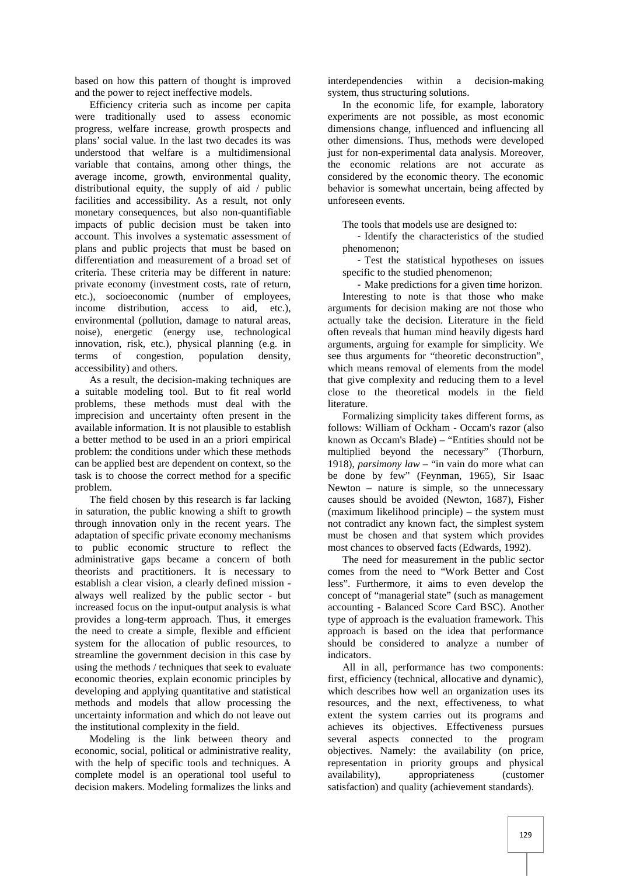based on how this pattern of thought is improved and the power to reject ineffective models.

Efficiency criteria such as income per capita were traditionally used to assess economic progress, welfare increase, growth prospects and plans' social value. In the last two decades its was understood that welfare is a multidimensional variable that contains, among other things, the average income, growth, environmental quality, distributional equity, the supply of aid / public facilities and accessibility. As a result, not only monetary consequences, but also non-quantifiable impacts of public decision must be taken into account. This involves a systematic assessment of plans and public projects that must be based on differentiation and measurement of a broad set of criteria. These criteria may be different in nature: private economy (investment costs, rate of return, etc.), socioeconomic (number of employees, income distribution, access to aid, etc.), environmental (pollution, damage to natural areas, noise), energetic (energy use, technological innovation, risk, etc.), physical planning (e.g. in terms of congestion, population density, accessibility) and others.

As a result, the decision-making techniques are a suitable modeling tool. But to fit real world problems, these methods must deal with the imprecision and uncertainty often present in the available information. It is not plausible to establish a better method to be used in an a priori empirical problem: the conditions under which these methods can be applied best are dependent on context, so the task is to choose the correct method for a specific problem.

The field chosen by this research is far lacking in saturation, the public knowing a shift to growth through innovation only in the recent years. The adaptation of specific private economy mechanisms to public economic structure to reflect the administrative gaps became a concern of both theorists and practitioners. It is necessary to establish a clear vision, a clearly defined mission always well realized by the public sector - but increased focus on the input-output analysis is what provides a long-term approach. Thus, it emerges the need to create a simple, flexible and efficient system for the allocation of public resources, to streamline the government decision in this case by using the methods / techniques that seek to evaluate economic theories, explain economic principles by developing and applying quantitative and statistical methods and models that allow processing the uncertainty information and which do not leave out the institutional complexity in the field.

Modeling is the link between theory and economic, social, political or administrative reality, with the help of specific tools and techniques. A complete model is an operational tool useful to availability), decision makers. Modeling formalizes the links and

interdependencies within a decision-making system, thus structuring solutions.

In the economic life, for example, laboratory experiments are not possible, as most economic dimensions change, influenced and influencing all other dimensions. Thus, methods were developed just for non-experimental data analysis. Moreover, the economic relations are not accurate as considered by the economic theory. The economic behavior is somewhat uncertain, being affected by unforeseen events.

The tools that models use are designed to:

- Identify the characteristics of the studied phenomenon;

- Test the statistical hypotheses on issues specific to the studied phenomenon;

- Make predictions for a given time horizon.

Interesting to note is that those who make arguments for decision making are not those who actually take the decision. Literature in the field often reveals that human mind heavily digests hard arguments, arguing for example for simplicity. We see thus arguments for "theoretic deconstruction", which means removal of elements from the model that give complexity and reducing them to a level close to the theoretical models in the field literature.

Formalizing simplicity takes different forms, as follows: William of Ockham - Occam's razor (also known as Occam's Blade) – "Entities should not be multiplied beyond the necessary" (Thorburn, 1918), *parsimony law* – "in vain do more what can be done by few" (Feynman, 1965), Sir Isaac Newton – nature is simple, so the unnecessary causes should be avoided (Newton, 1687), Fisher (maximum likelihood principle) – the system must not contradict any known fact, the simplest system must be chosen and that system which provides most chances to observed facts (Edwards, 1992).

The need for measurement in the public sector comes from the need to "Work Better and Cost less". Furthermore, it aims to even develop the concept of "managerial state" (such as management accounting - Balanced Score Card BSC). Another type of approach is the evaluation framework. This approach is based on the idea that performance should be considered to analyze a number of indicators.

All in all, performance has two components: first, efficiency (technical, allocative and dynamic), which describes how well an organization uses its resources, and the next, effectiveness, to what extent the system carries out its programs and achieves its objectives. Effectiveness pursues several aspects connected to the program objectives. Namely: the availability (on price, representation in priority groups and physical appropriateness (customer satisfaction) and quality (achievement standards).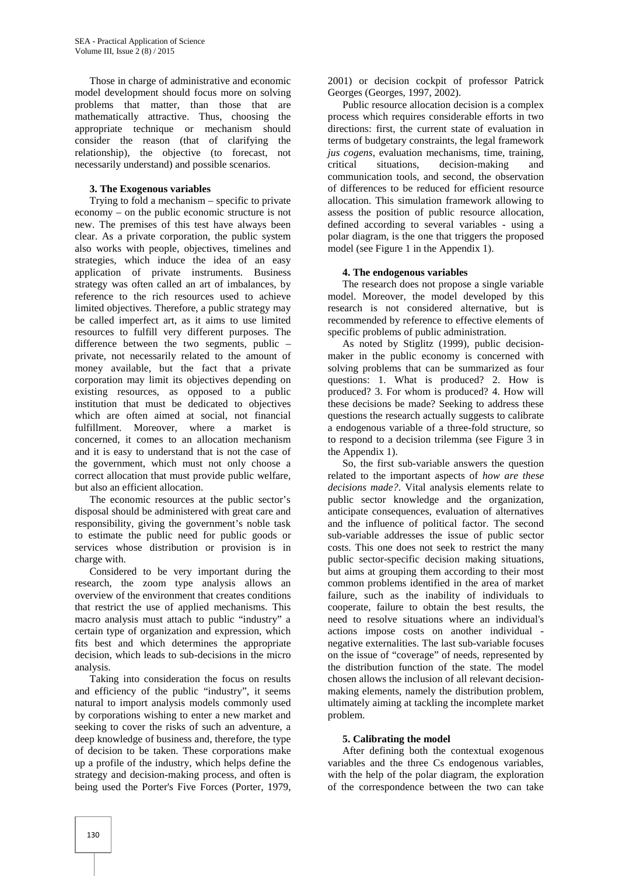Those in charge of administrative and economic model development should focus more on solving problems that matter, than those that are mathematically attractive. Thus, choosing the appropriate technique or mechanism should consider the reason (that of clarifying the relationship), the objective (to forecast, not necessarily understand) and possible scenarios.

## **3. The Exogenous variables**

Trying to fold a mechanism – specific to private economy – on the public economic structure is not new. The premises of this test have always been clear. As a private corporation, the public system also works with people, objectives, timelines and strategies, which induce the idea of an easy application of private instruments. Business strategy was often called an art of imbalances, by reference to the rich resources used to achieve limited objectives. Therefore, a public strategy may be called imperfect art, as it aims to use limited resources to fulfill very different purposes. The difference between the two segments, public – private, not necessarily related to the amount of money available, but the fact that a private corporation may limit its objectives depending on existing resources, as opposed to a public institution that must be dedicated to objectives which are often aimed at social, not financial fulfillment. Moreover, where a market is concerned, it comes to an allocation mechanism and it is easy to understand that is not the case of the government, which must not only choose a correct allocation that must provide public welfare, but also an efficient allocation.

The economic resources at the public sector's disposal should be administered with great care and responsibility, giving the government's noble task to estimate the public need for public goods or services whose distribution or provision is in charge with.

Considered to be very important during the research, the zoom type analysis allows an overview of the environment that creates conditions that restrict the use of applied mechanisms. This macro analysis must attach to public "industry" a certain type of organization and expression, which fits best and which determines the appropriate decision, which leads to sub-decisions in the micro analysis.

Taking into consideration the focus on results and efficiency of the public "industry", it seems natural to import analysis models commonly used by corporations wishing to enter a new market and seeking to cover the risks of such an adventure, a deep knowledge of business and, therefore, the type of decision to be taken. These corporations make up a profile of the industry, which helps define the strategy and decision-making process, and often is being used the Porter's Five Forces (Porter, 1979,

2001) or decision cockpit of professor Patrick Georges (Georges, 1997, 2002).

Public resource allocation decision is a complex process which requires considerable efforts in two directions: first, the current state of evaluation in terms of budgetary constraints, the legal framework *jus cogens*, evaluation mechanisms, time, training, situations, decision-making and communication tools, and second, the observation of differences to be reduced for efficient resource allocation. This simulation framework allowing to assess the position of public resource allocation, defined according to several variables - using a polar diagram, is the one that triggers the proposed model (see Figure 1 in the Appendix 1).

## **4. The endogenous variables**

The research does not propose a single variable model. Moreover, the model developed by this research is not considered alternative, but is recommended by reference to effective elements of specific problems of public administration.

As noted by Stiglitz (1999), public decision maker in the public economy is concerned with solving problems that can be summarized as four questions: 1. What is produced? 2. How is produced? 3. For whom is produced? 4. How will these decisions be made? Seeking to address these questions the research actually suggests to calibrate a endogenous variable of a three-fold structure, so to respond to a decision trilemma (see Figure 3 in the Appendix 1).

So, the first sub-variable answers the question related to the important aspects of *how are these decisions made?*. Vital analysis elements relate to public sector knowledge and the organization, anticipate consequences, evaluation of alternatives and the influence of political factor. The second sub-variable addresses the issue of public sector costs. This one does not seek to restrict the many public sector-specific decision making situations, but aims at grouping them according to their most common problems identified in the area of market failure, such as the inability of individuals to cooperate, failure to obtain the best results, the need to resolve situations where an individual's actions impose costs on another individual negative externalities. The last sub-variable focuses on the issue of "coverage" of needs, represented by the distribution function of the state. The model chosen allows the inclusion of all relevant decision making elements, namely the distribution problem, ultimately aiming at tackling the incomplete market problem.

# **5. Calibrating the model**

After defining both the contextual exogenous variables and the three Cs endogenous variables, with the help of the polar diagram, the exploration of the correspondence between the two can take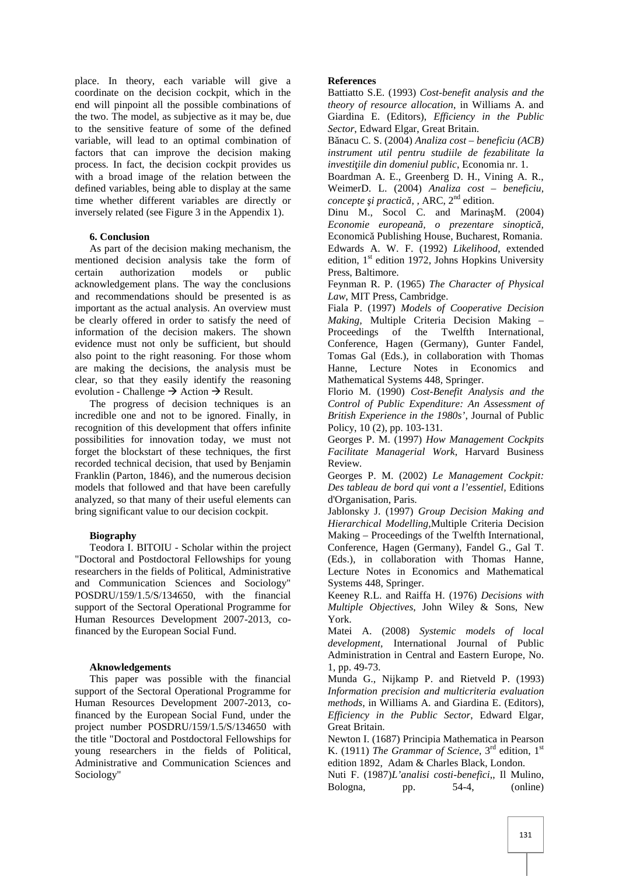place. In theory, each variable will give a coordinate on the decision cockpit, which in the end will pinpoint all the possible combinations of the two. The model, as subjective as it may be, due to the sensitive feature of some of the defined variable, will lead to an optimal combination of factors that can improve the decision making process. In fact, the decision cockpit provides us with a broad image of the relation between the defined variables, being able to display at the same time whether different variables are directly or inversely related (see Figure 3 in the Appendix 1).

#### **6. Conclusion**

As part of the decision making mechanism, the mentioned decision analysis take the form of certain authorization models or public acknowledgement plans. The way the conclusions and recommendations should be presented is as important as the actual analysis. An overview must be clearly offered in order to satisfy the need of information of the decision makers. The shown evidence must not only be sufficient, but should also point to the right reasoning. For those whom are making the decisions, the analysis must be clear, so that they easily identify the reasoning evolution - Challenge  $\rightarrow$  Action  $\rightarrow$  Result.

The progress of decision techniques is an incredible one and not to be ignored. Finally, in recognition of this development that offers infinite possibilities for innovation today, we must not forget the blockstart of these techniques, the first recorded technical decision, that used by Benjamin Franklin (Parton, 1846), and the numerous decision models that followed and that have been carefully analyzed, so that many of their useful elements can bring significant value to our decision cockpit.

## **Biography**

Teodora I. BITOIU - Scholar within the project "Doctoral and Postdoctoral Fellowships for young researchers in the fields of Political, Administrative and Communication Sciences and Sociology" POSDRU/159/1.5/S/134650, with the financial support of the Sectoral Operational Programme for Human Resources Development 2007-2013, cofinanced by the European Social Fund.

#### **Aknowledgements**

This paper was possible with the financial support of the Sectoral Operational Programme for Human Resources Development 2007-2013, cofinanced by the European Social Fund, under the project number POSDRU/159/1.5/S/134650 with the title "Doctoral and Postdoctoral Fellowships for young researchers in the fields of Political, Administrative and Communication Sciences and Sociology"

#### **References**

Battiatto S.E. (1993) *Cost-benefit analysis and the theory of resource allocation*, in Williams A. and Giardina E. (Editors), *Efficiency in the Public Sector*, Edward Elgar, Great Britain.

Bănacu C. S. (2004) *Analiza cost – beneficiu (ACB) instrument util pentru studiile de fezabilitate la investiţiile din domeniul public*, Economia nr. 1.

Boardman A. E., Greenberg D. H., Vining A. R., WeimerD. L. (2004) *Analiza cost – beneficiu, concepte i practic*, , ARC, 2<sup>nd</sup> edition.

Dinu M., Socol C. and Marina M.  $(2004)$ *Economie europeană, o prezentare sinoptică,* Economic Publishing House, Bucharest, Romania. Edwards A. W. F. (1992) *Likelihood*, extended edition,  $1<sup>st</sup>$  edition 1972, Johns Hopkins University Press, Baltimore.

Feynman R. P. (1965) *The Character of Physical Law*, MIT Press, Cambridge.

Fiala P. (1997) *Models of Cooperative Decision Making,* Multiple Criteria Decision Making – Proceedings of the Twelfth International, Conference, Hagen (Germany), Gunter Fandel, Tomas Gal (Eds.), in collaboration with Thomas Hanne, Lecture Notes in Economics and Mathematical Systems 448, Springer.

Florio M. (1990) *Cost-Benefit Analysis and the Control of Public Expenditure: An Assessment of British Experience in the 1980s'*, Journal of Public Policy, 10 (2), pp. 103-131.

Georges P. M. (1997) *How Management Cockpits Facilitate Managerial Work*, Harvard Business Review.

Georges P. M. (2002) *Le Management Cockpit: Des tableau de bord qui vont a l'essentiel,* Editions d'Organisation, Paris.

Jablonsky J. (1997) *Group Decision Making and Hierarchical Modelling*,Multiple Criteria Decision Making – Proceedings of the Twelfth International, Conference, Hagen (Germany), Fandel G., Gal T. (Eds.), in collaboration with Thomas Hanne, Lecture Notes in Economics and Mathematical Systems 448, Springer.

Keeney R.L. and Raiffa H. (1976) *Decisions with Multiple Objectives*, John Wiley & Sons, New York.

Matei A. (2008) *Systemic models of local development,* International Journal of Public Administration in Central and Eastern Europe, No. 1, pp. 49-73.

Munda G., Nijkamp P. and Rietveld P. (1993) *Information precision and multicriteria evaluation methods*, in Williams A. and Giardina E. (Editors), *Efficiency in the Public Sector*, Edward Elgar, Great Britain.

Newton I. (1687) Principia Mathematica in Pearson K. (1911) *The Grammar of Science*, 3<sup>rd</sup> edition, 1<sup>st</sup> edition 1892, Adam & Charles Black, London.

Nuti F. (1987)*L'analisi costi-benefici*,, Il Mulino, Bologna, pp. 54-4, (online)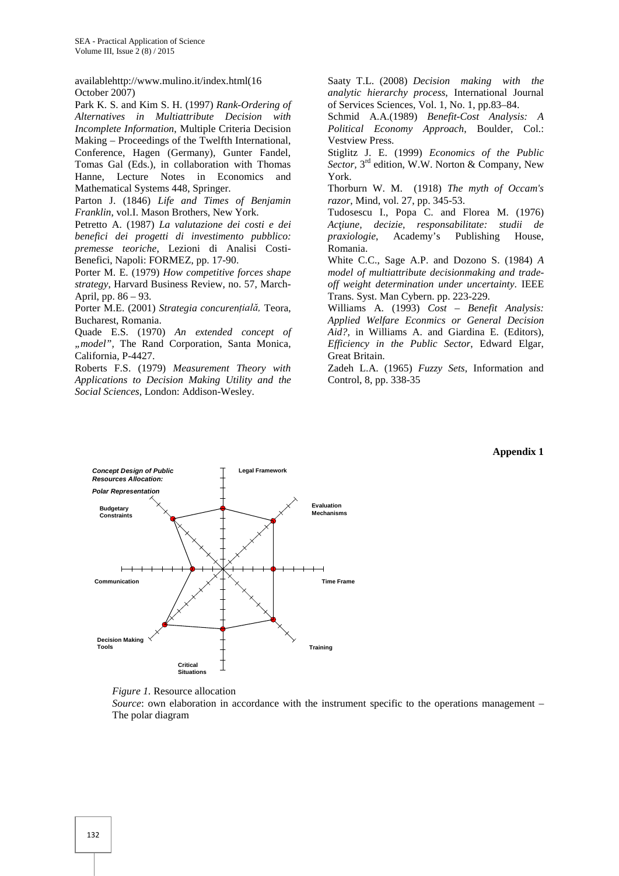availablehttp://www.mulino.it/index.html(16 October 2007)

Park K. S. and Kim S. H. (1997) *Rank-Ordering of Alternatives in Multiattribute Decision with Incomplete Information*, Multiple Criteria Decision Making – Proceedings of the Twelfth International, Conference, Hagen (Germany), Gunter Fandel, Tomas Gal (Eds.), in collaboration with Thomas Hanne, Lecture Notes in Economics and Mathematical Systems 448, Springer.

Parton J. (1846) *Life and Times of Benjamin Franklin*, vol.I. Mason Brothers, New York.

Petretto A. (1987) *La valutazione dei costi e dei benefici dei progetti di investimento pubblico: premesse teoriche*, Lezioni di Analisi Costi- Benefici, Napoli: FORMEZ, pp. 17-90.

Porter M. E. (1979) *How competitive forces shape strategy*, Harvard Business Review, no. 57, March- April, pp. 86 – 93.

Porter M.E. (2001) *Strategia concurențială,* Teora, Bucharest, Romania.

Quade E.S. (1970) *An extended concept of "model",* The Rand Corporation, Santa Monica, California, P-4427.

Roberts F.S. (1979) *Measurement Theory with Applications to Decision Making Utility and the Social Sciences*, London: Addison-Wesley.

Saaty T.L. (2008) *Decision making with the analytic hierarchy process*, International Journal of Services Sciences, Vol. 1, No. 1, pp.83–84.

Schmid A.A.(1989) *Benefit-Cost Analysis: A Political Economy Approach*, Boulder, Col.: Vestview Press.

Stiglitz J. E. (1999) *Economics of the Public* Sector, 3<sup>rd</sup> edition, W.W. Norton & Company, New York.

Thorburn W. M. (1918) *The myth of Occam's razor*, Mind, vol. 27, pp. 345-53.

Tudosescu I., Popa C. and Florea M. (1976) *Acţiune, decizie, responsabilitate: studii de praxiologie*, Academy's Publishing House, Romania.

White C.C., Sage A.P. and Dozono S. (1984) *A model of multiattribute decisionmaking and trade off weight determination under uncertainty*. IEEE Trans. Syst. Man Cybern. pp. 223-229.

Williams A. (1993) *Cost – Benefit Analysis: Applied Welfare Econmics or General Decision Aid?,* in Williams A. and Giardina E. (Editors), *Efficiency in the Public Sector*, Edward Elgar, Great Britain.

Zadeh L.A. (1965) *Fuzzy Sets*, Information and Control, 8, pp. 338-35

#### **Appendix 1**





*Source*: own elaboration in accordance with the instrument specific to the operations management – The polar diagram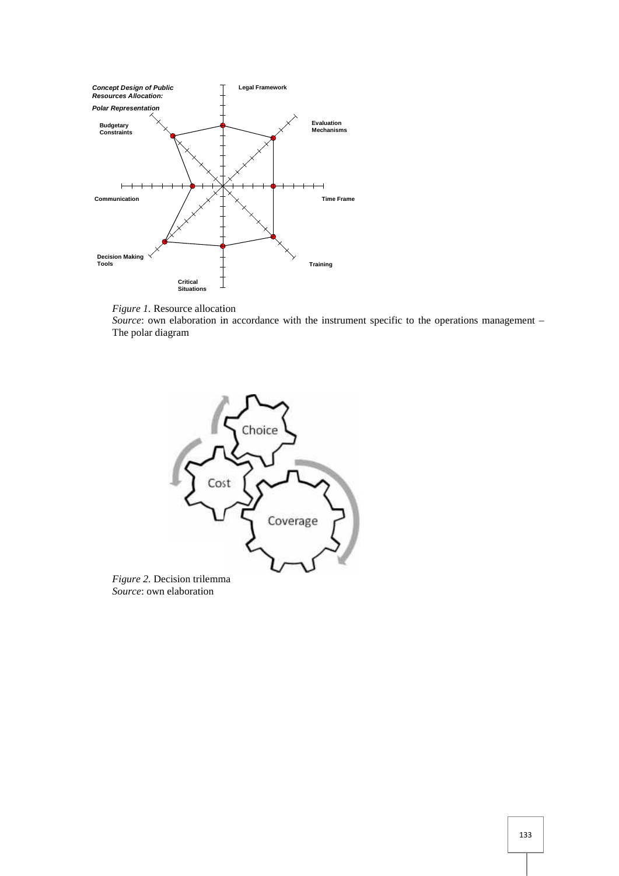



*Figure 1*. Resource allocation<br>*Source*: own elaboration in accordance with the instrument specific to the operations management – The polar diagram



*Source*: own elaboration